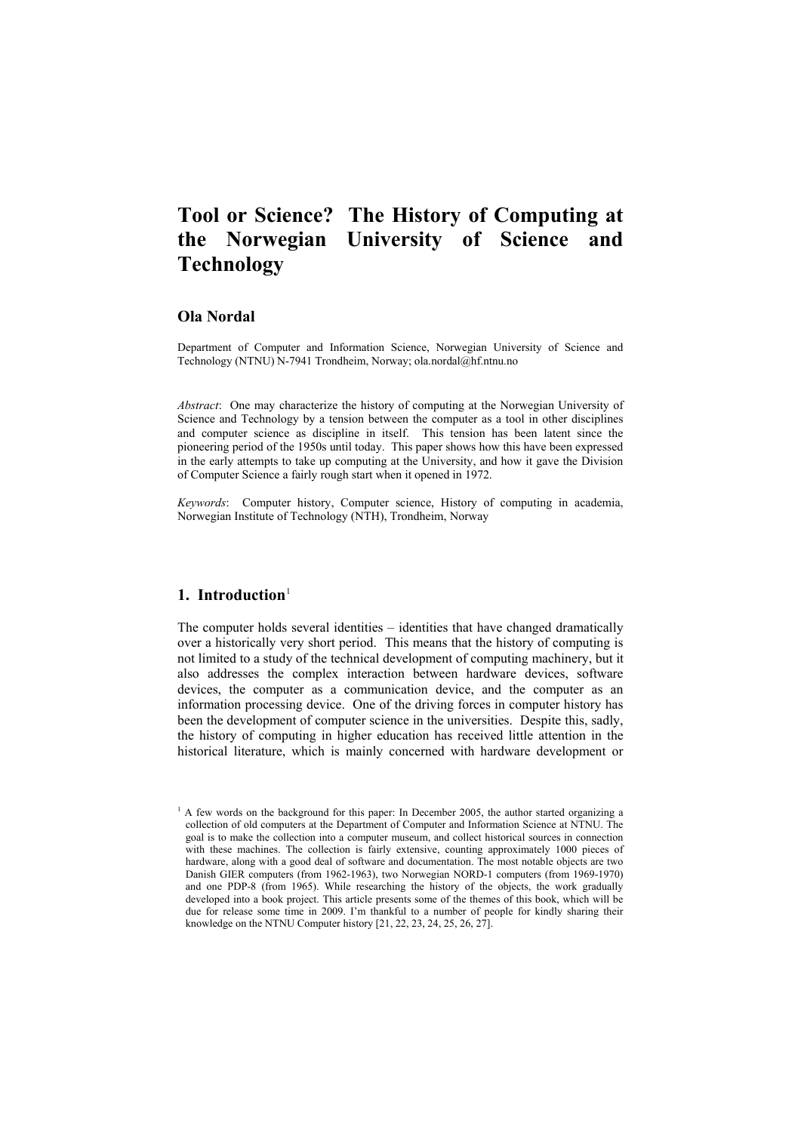# **Tool or Science? The History of Computing at the Norwegian University of Science and Technology**

# **Ola Nordal**

Department of Computer and Information Science, Norwegian University of Science and Technology (NTNU) N-7941 Trondheim, Norway; ola.nordal@hf.ntnu.no

*Abstract*: One may characterize the history of computing at the Norwegian University of Science and Technology by a tension between the computer as a tool in other disciplines and computer science as discipline in itself. This tension has been latent since the pioneering period of the 1950s until today. This paper shows how this have been expressed in the early attempts to take up computing at the University, and how it gave the Division of Computer Science a fairly rough start when it opened in 1972.

*Keywords*: Computer history, Computer science, History of computing in academia, Norwegian Institute of Technology (NTH), Trondheim, Norway

# **1. Introduction**[1](#page-0-0)

<span id="page-0-2"></span><span id="page-0-1"></span>The computer holds several identities – identities that have changed dramatically over a historically very short period. This means that the history of computing is not limited to a study of the technical development of computing machinery, but it also addresses the complex interaction between hardware devices, software devices, the computer as a communication device, and the computer as an information processing device. One of the driving forces in computer history has been the development of computer science in the universities. Despite this, sadly, the history of computing in higher education has received little attention in the historical literature, which is mainly concerned with hardware development or

<span id="page-0-6"></span><span id="page-0-5"></span><span id="page-0-4"></span><span id="page-0-3"></span><span id="page-0-0"></span><sup>&</sup>lt;sup>1</sup> A few words on the background for this paper: In December 2005, the author started organizing a collection of old computers at the Department of Computer and Information Science at NTNU. The goal is to make the collection into a computer museum, and collect historical sources in connection with these machines. The collection is fairly extensive, counting approximately 1000 pieces of hardware, along with a good deal of software and documentation. The most notable objects are two Danish GIER computers (from 1962-1963), two Norwegian NORD-1 computers (from 1969-1970) and one PDP-8 (from 1965). While researching the history of the objects, the work gradually developed into a book project. This article presents some of the themes of this book, which will be due for release some time in 2009. I'm thankful to a number of people for kindly sharing their knowledge on the NTNU Computer history [21, 22, 23, 24, 25, 26, 27].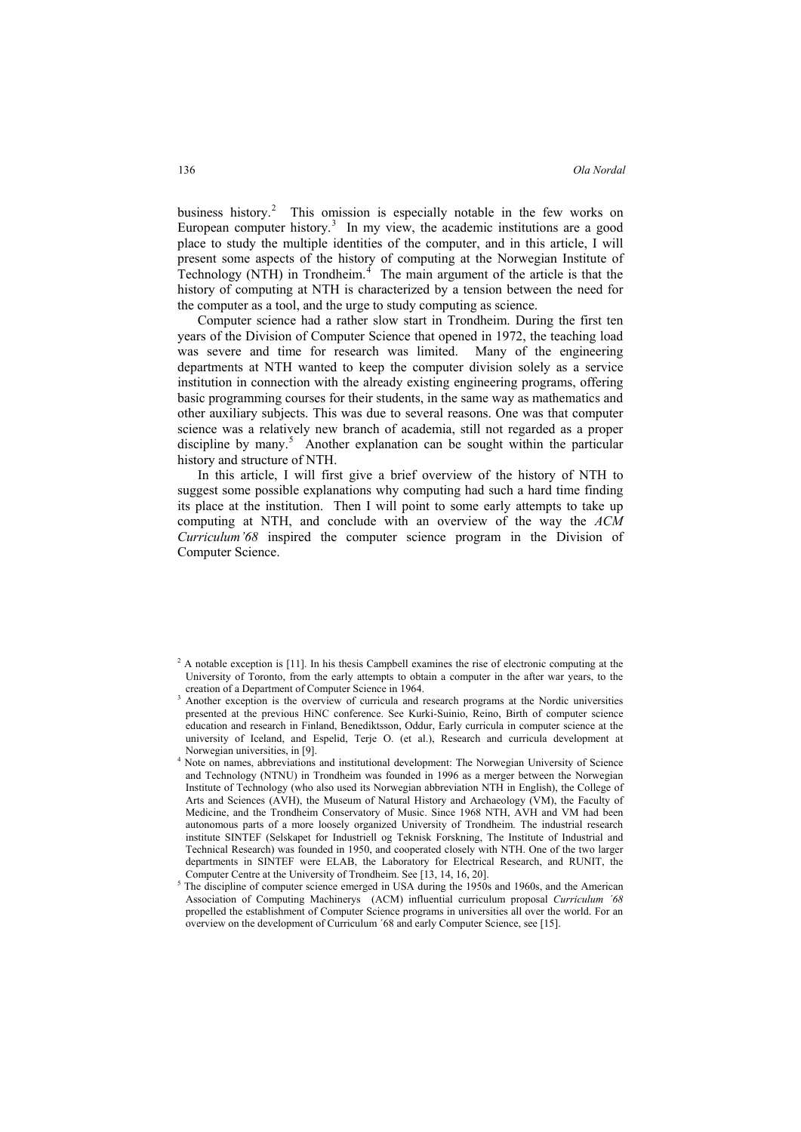business history.<sup>[2](#page-0-1)</sup> This omission is especially notable in the few works on European computer history.<sup>[3](#page-0-2)</sup> In my view, the academic institutions are a good place to study the multiple identities of the computer, and in this article, I will present some aspects of the history of computing at the Norwegian Institute of Technology (NTH) in Trondheim.<sup> $4$ </sup> The main argument of the article is that the history of computing at NTH is characterized by a tension between the need for the computer as a tool, and the urge to study computing as science.

Computer science had a rather slow start in Trondheim. During the first ten years of the Division of Computer Science that opened in 1972, the teaching load was severe and time for research was limited. Many of the engineering departments at NTH wanted to keep the computer division solely as a service institution in connection with the already existing engineering programs, offering basic programming courses for their students, in the same way as mathematics and other auxiliary subjects. This was due to several reasons. One was that computer science was a relatively new branch of academia, still not regarded as a proper discipline by many.<sup>[5](#page-0-4)</sup> Another explanation can be sought within the particular history and structure of NTH.

In this article, I will first give a brief overview of the history of NTH to suggest some possible explanations why computing had such a hard time finding its place at the institution. Then I will point to some early attempts to take up computing at NTH, and conclude with an overview of the way the *ACM Curriculum'68* inspired the computer science program in the Division of Computer Science.

 $2^2$  A notable exception is [11]. In his thesis Campbell examines the rise of electronic computing at the University of Toronto, from the early attempts to obtain a computer in the after war years, to the creation of a Department of Computer Science in 1964.

Another exception is the overview of curricula and research programs at the Nordic universities presented at the previous HiNC conference. See Kurki-Suinio, Reino, Birth of computer science education and research in Finland, Benediktsson, Oddur, Early curricula in computer science at the university of Iceland, and Espelid, Terje O. (et al.), Research and curricula development at Norwegian universities, in [9].

Note on names, abbreviations and institutional development: The Norwegian University of Science and Technology (NTNU) in Trondheim was founded in 1996 as a merger between the Norwegian Institute of Technology (who also used its Norwegian abbreviation NTH in English), the College of Arts and Sciences (AVH), the Museum of Natural History and Archaeology (VM), the Faculty of Medicine, and the Trondheim Conservatory of Music. Since 1968 NTH, AVH and VM had been autonomous parts of a more loosely organized University of Trondheim. The industrial research institute SINTEF (Selskapet for Industriell og Teknisk Forskning, The Institute of Industrial and Technical Research) was founded in 1950, and cooperated closely with NTH. One of the two larger departments in SINTEF were ELAB, the Laboratory for Electrical Research, and RUNIT, the Computer Centre at the University of Trondheim. See [13, 14, 16, 20].

The discipline of computer science emerged in USA during the 1950s and 1960s, and the American Association of Computing Machinerys (ACM) influential curriculum proposal *Curriculum ´68* propelled the establishment of Computer Science programs in universities all over the world. For an overview on the development of Curriculum ´68 and early Computer Science, see [15].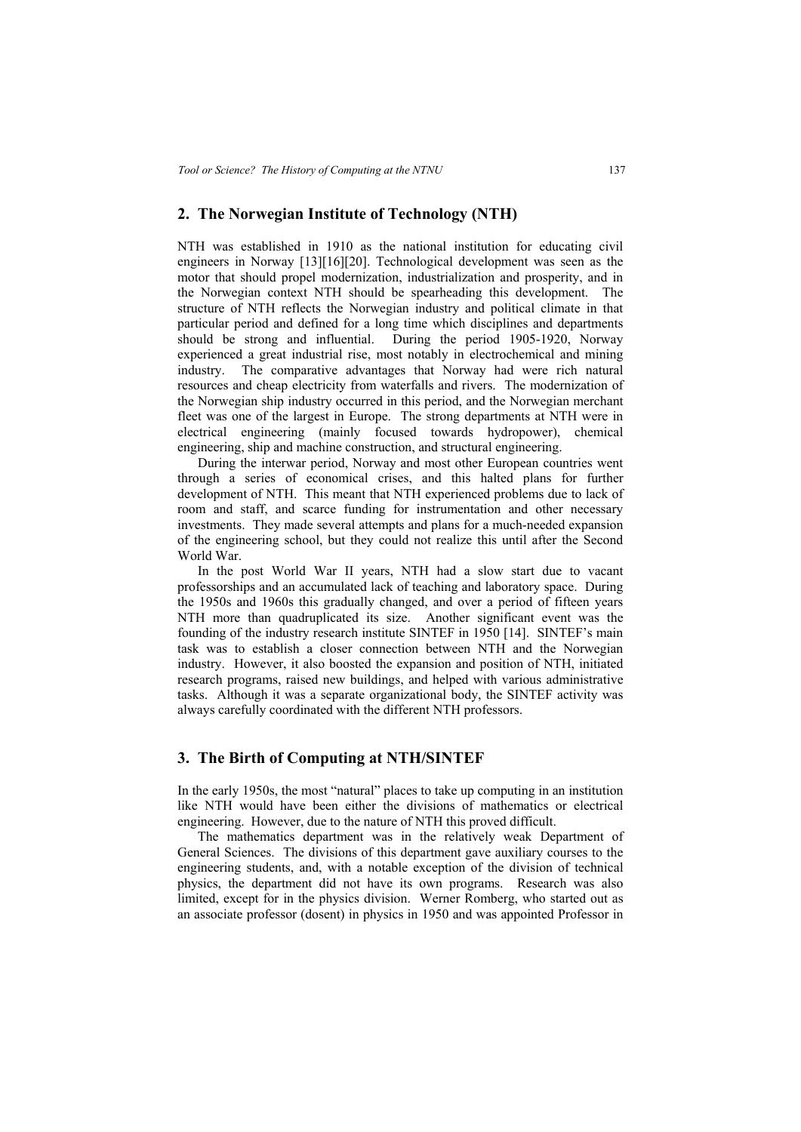### **2. The Norwegian Institute of Technology (NTH)**

NTH was established in 1910 as the national institution for educating civil engineers in Norway [13][16][20]. Technological development was seen as the motor that should propel modernization, industrialization and prosperity, and in the Norwegian context NTH should be spearheading this development. The structure of NTH reflects the Norwegian industry and political climate in that particular period and defined for a long time which disciplines and departments should be strong and influential. During the period 1905-1920, Norway experienced a great industrial rise, most notably in electrochemical and mining industry. The comparative advantages that Norway had were rich natural resources and cheap electricity from waterfalls and rivers. The modernization of the Norwegian ship industry occurred in this period, and the Norwegian merchant fleet was one of the largest in Europe. The strong departments at NTH were in electrical engineering (mainly focused towards hydropower), chemical engineering, ship and machine construction, and structural engineering.

During the interwar period, Norway and most other European countries went through a series of economical crises, and this halted plans for further development of NTH. This meant that NTH experienced problems due to lack of room and staff, and scarce funding for instrumentation and other necessary investments. They made several attempts and plans for a much-needed expansion of the engineering school, but they could not realize this until after the Second World War.

In the post World War II years, NTH had a slow start due to vacant professorships and an accumulated lack of teaching and laboratory space. During the 1950s and 1960s this gradually changed, and over a period of fifteen years NTH more than quadruplicated its size. Another significant event was the founding of the industry research institute SINTEF in 1950 [14]. SINTEF's main task was to establish a closer connection between NTH and the Norwegian industry. However, it also boosted the expansion and position of NTH, initiated research programs, raised new buildings, and helped with various administrative tasks. Although it was a separate organizational body, the SINTEF activity was always carefully coordinated with the different NTH professors.

# **3. The Birth of Computing at NTH/SINTEF**

In the early 1950s, the most "natural" places to take up computing in an institution like NTH would have been either the divisions of mathematics or electrical engineering. However, due to the nature of NTH this proved difficult.

The mathematics department was in the relatively weak Department of General Sciences. The divisions of this department gave auxiliary courses to the engineering students, and, with a notable exception of the division of technical physics, the department did not have its own programs. Research was also limited, except for in the physics division. Werner Romberg, who started out as an associate professor (dosent) in physics in 1950 and was appointed Professor in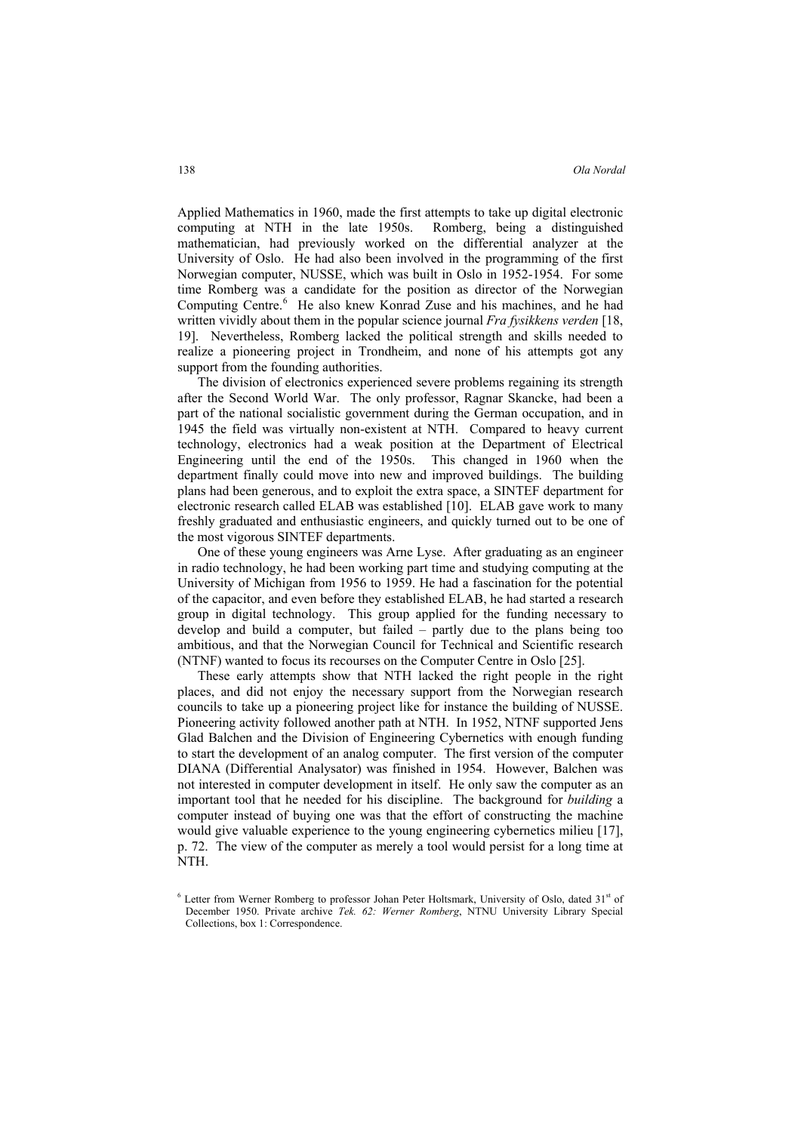Applied Mathematics in 1960, made the first attempts to take up digital electronic computing at NTH in the late 1950s. Romberg, being a distinguished mathematician, had previously worked on the differential analyzer at the University of Oslo. He had also been involved in the programming of the first Norwegian computer, NUSSE, which was built in Oslo in 1952-1954. For some time Romberg was a candidate for the position as director of the Norwegian Computing Centre.<sup>[6](#page-0-5)</sup> He also knew Konrad Zuse and his machines, and he had written vividly about them in the popular science journal *Fra fysikkens verden* [18, 19]. Nevertheless, Romberg lacked the political strength and skills needed to realize a pioneering project in Trondheim, and none of his attempts got any support from the founding authorities.

The division of electronics experienced severe problems regaining its strength after the Second World War. The only professor, Ragnar Skancke, had been a part of the national socialistic government during the German occupation, and in 1945 the field was virtually non-existent at NTH. Compared to heavy current technology, electronics had a weak position at the Department of Electrical Engineering until the end of the 1950s. This changed in 1960 when the department finally could move into new and improved buildings. The building plans had been generous, and to exploit the extra space, a SINTEF department for electronic research called ELAB was established [10]. ELAB gave work to many freshly graduated and enthusiastic engineers, and quickly turned out to be one of the most vigorous SINTEF departments.

One of these young engineers was Arne Lyse. After graduating as an engineer in radio technology, he had been working part time and studying computing at the University of Michigan from 1956 to 1959. He had a fascination for the potential of the capacitor, and even before they established ELAB, he had started a research group in digital technology. This group applied for the funding necessary to develop and build a computer, but failed – partly due to the plans being too ambitious, and that the Norwegian Council for Technical and Scientific research (NTNF) wanted to focus its recourses on the Computer Centre in Oslo [25].

These early attempts show that NTH lacked the right people in the right places, and did not enjoy the necessary support from the Norwegian research councils to take up a pioneering project like for instance the building of NUSSE. Pioneering activity followed another path at NTH. In 1952, NTNF supported Jens Glad Balchen and the Division of Engineering Cybernetics with enough funding to start the development of an analog computer. The first version of the computer DIANA (Differential Analysator) was finished in 1954. However, Balchen was not interested in computer development in itself. He only saw the computer as an important tool that he needed for his discipline. The background for *building* a computer instead of buying one was that the effort of constructing the machine would give valuable experience to the young engineering cybernetics milieu [17], p. 72. The view of the computer as merely a tool would persist for a long time at NTH.

<sup>&</sup>lt;sup>6</sup> Letter from Werner Romberg to professor Johan Peter Holtsmark, University of Oslo, dated 31<sup>st</sup> of December 1950. Private archive *Tek. 62: Werner Romberg*, NTNU University Library Special Collections, box 1: Correspondence.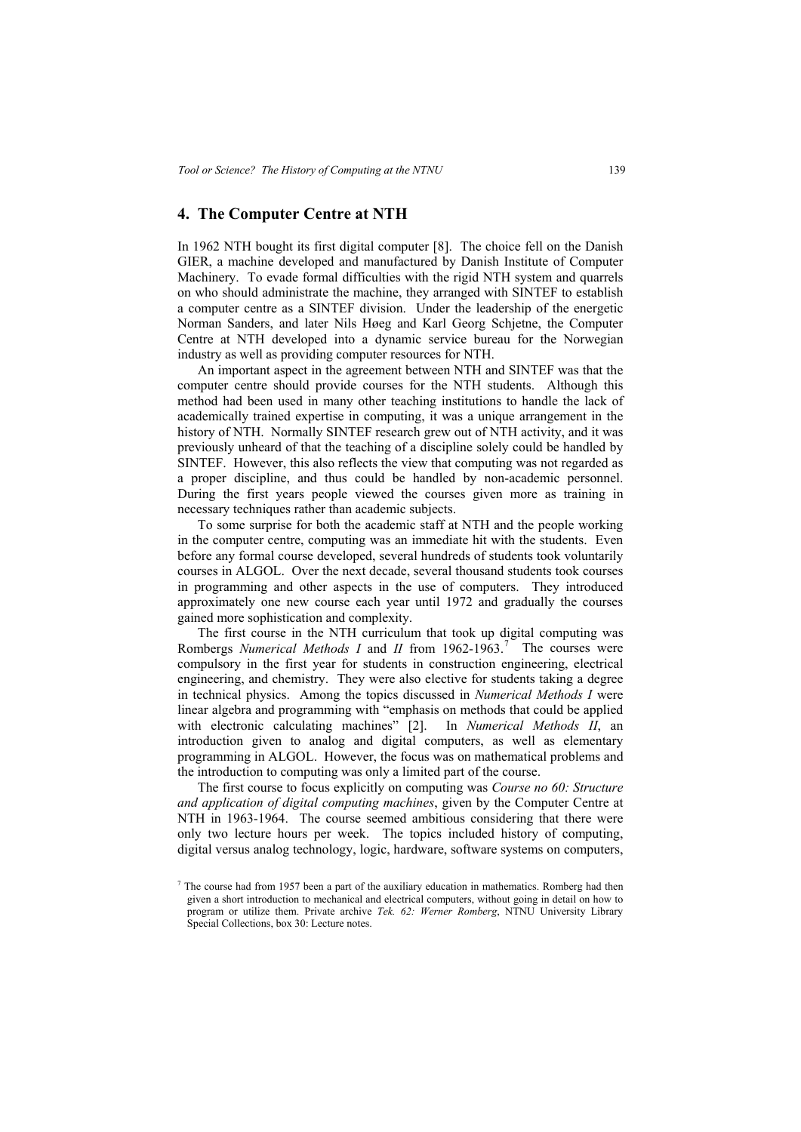## **4. The Computer Centre at NTH**

In 1962 NTH bought its first digital computer [8]. The choice fell on the Danish GIER, a machine developed and manufactured by Danish Institute of Computer Machinery. To evade formal difficulties with the rigid NTH system and quarrels on who should administrate the machine, they arranged with SINTEF to establish a computer centre as a SINTEF division. Under the leadership of the energetic Norman Sanders, and later Nils Høeg and Karl Georg Schjetne, the Computer Centre at NTH developed into a dynamic service bureau for the Norwegian industry as well as providing computer resources for NTH.

An important aspect in the agreement between NTH and SINTEF was that the computer centre should provide courses for the NTH students. Although this method had been used in many other teaching institutions to handle the lack of academically trained expertise in computing, it was a unique arrangement in the history of NTH. Normally SINTEF research grew out of NTH activity, and it was previously unheard of that the teaching of a discipline solely could be handled by SINTEF. However, this also reflects the view that computing was not regarded as a proper discipline, and thus could be handled by non-academic personnel. During the first years people viewed the courses given more as training in necessary techniques rather than academic subjects.

To some surprise for both the academic staff at NTH and the people working in the computer centre, computing was an immediate hit with the students. Even before any formal course developed, several hundreds of students took voluntarily courses in ALGOL. Over the next decade, several thousand students took courses in programming and other aspects in the use of computers. They introduced approximately one new course each year until 1972 and gradually the courses gained more sophistication and complexity.

The first course in the NTH curriculum that took up digital computing was Rombergs *Numerical Methods I* and *II* from 1962-1963.<sup>[7](#page-0-4)</sup> The courses were compulsory in the first year for students in construction engineering, electrical engineering, and chemistry. They were also elective for students taking a degree in technical physics. Among the topics discussed in *Numerical Methods I* were linear algebra and programming with "emphasis on methods that could be applied with electronic calculating machines" [2]. In *Numerical Methods II*, an introduction given to analog and digital computers, as well as elementary programming in ALGOL. However, the focus was on mathematical problems and the introduction to computing was only a limited part of the course.

The first course to focus explicitly on computing was *Course no 60: Structure and application of digital computing machines*, given by the Computer Centre at NTH in 1963-1964. The course seemed ambitious considering that there were only two lecture hours per week. The topics included history of computing, digital versus analog technology, logic, hardware, software systems on computers,

<sup>&</sup>lt;sup>7</sup> The course had from 1957 been a part of the auxiliary education in mathematics. Romberg had then given a short introduction to mechanical and electrical computers, without going in detail on how to program or utilize them. Private archive *Tek. 62: Werner Romberg*, NTNU University Library Special Collections, box 30: Lecture notes.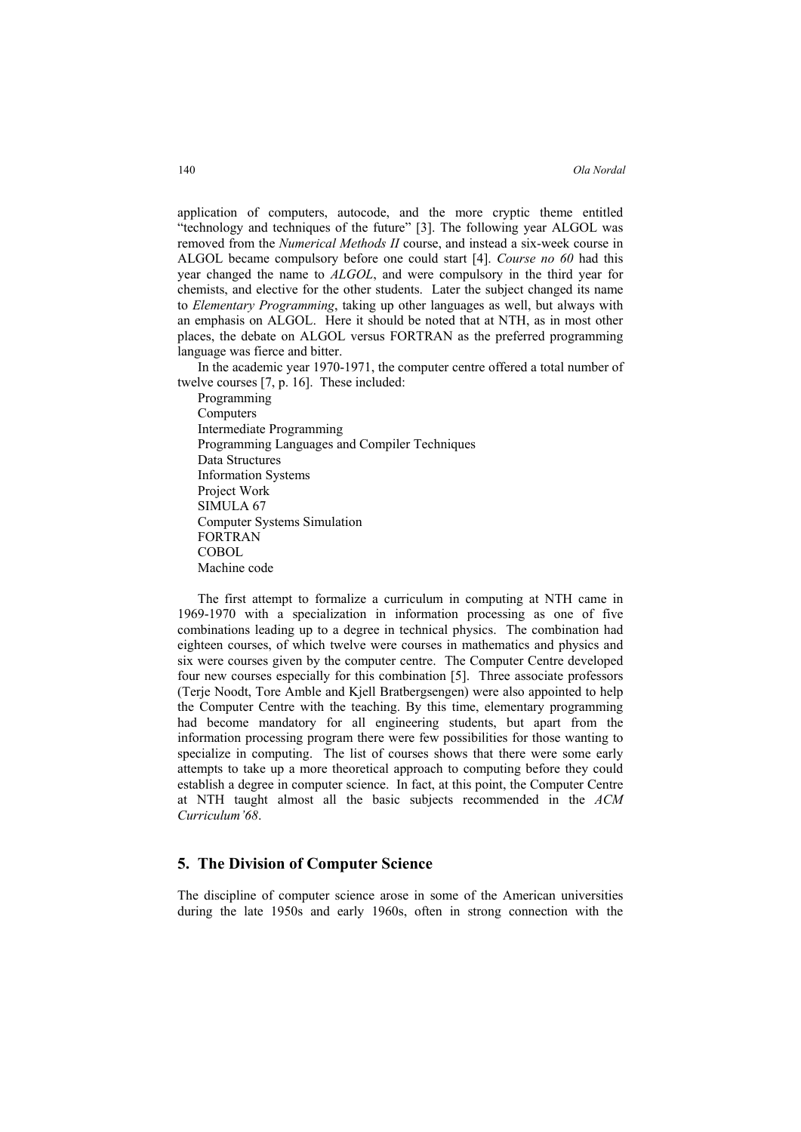application of computers, autocode, and the more cryptic theme entitled "technology and techniques of the future" [3]. The following year ALGOL was removed from the *Numerical Methods II* course, and instead a six-week course in ALGOL became compulsory before one could start [4]. *Course no 60* had this year changed the name to *ALGOL*, and were compulsory in the third year for chemists, and elective for the other students. Later the subject changed its name to *Elementary Programming*, taking up other languages as well, but always with an emphasis on ALGOL. Here it should be noted that at NTH, as in most other places, the debate on ALGOL versus FORTRAN as the preferred programming language was fierce and bitter.

In the academic year 1970-1971, the computer centre offered a total number of twelve courses [7, p. 16]. These included:

Programming **Computers** Intermediate Programming Programming Languages and Compiler Techniques Data Structures Information Systems Project Work SIMULA 67 Computer Systems Simulation FORTRAN COBOL Machine code

The first attempt to formalize a curriculum in computing at NTH came in 1969-1970 with a specialization in information processing as one of five combinations leading up to a degree in technical physics. The combination had eighteen courses, of which twelve were courses in mathematics and physics and six were courses given by the computer centre. The Computer Centre developed four new courses especially for this combination [5]. Three associate professors (Terje Noodt, Tore Amble and Kjell Bratbergsengen) were also appointed to help the Computer Centre with the teaching. By this time, elementary programming had become mandatory for all engineering students, but apart from the information processing program there were few possibilities for those wanting to specialize in computing. The list of courses shows that there were some early attempts to take up a more theoretical approach to computing before they could establish a degree in computer science. In fact, at this point, the Computer Centre at NTH taught almost all the basic subjects recommended in the *ACM Curriculum'68*.

## **5. The Division of Computer Science**

The discipline of computer science arose in some of the American universities during the late 1950s and early 1960s, often in strong connection with the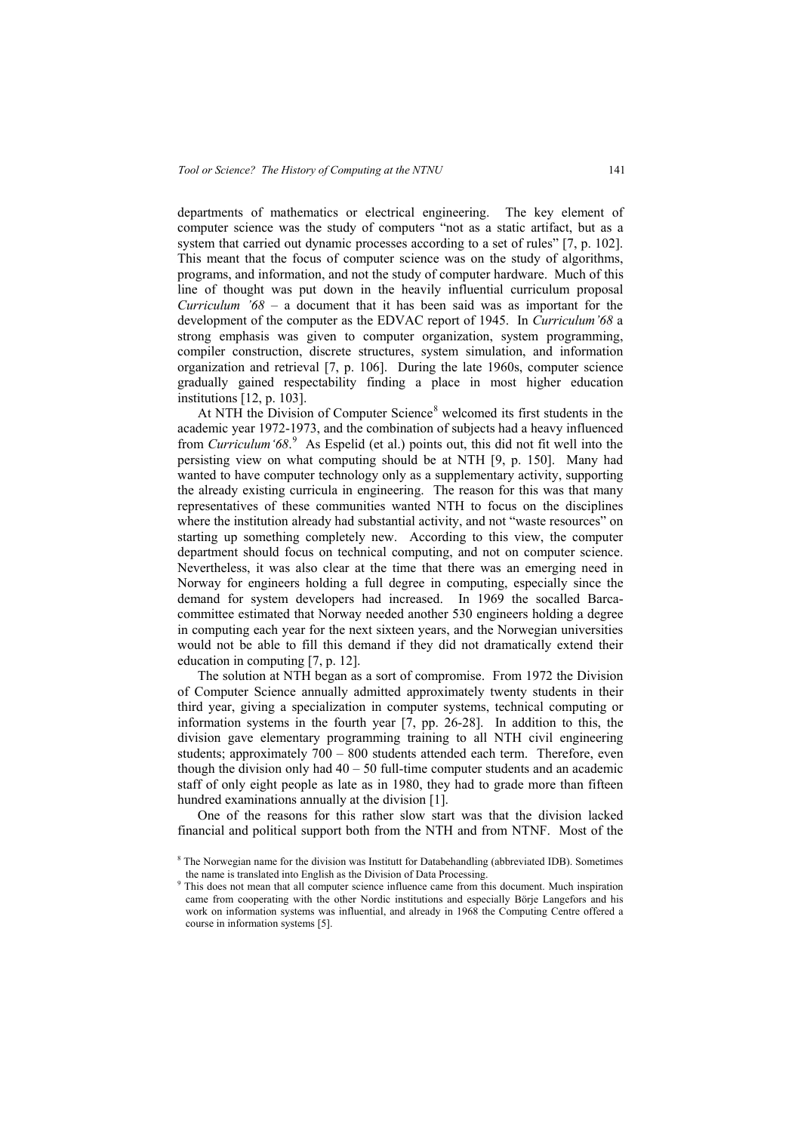departments of mathematics or electrical engineering. The key element of computer science was the study of computers "not as a static artifact, but as a system that carried out dynamic processes according to a set of rules" [7, p. 102]. This meant that the focus of computer science was on the study of algorithms, programs, and information, and not the study of computer hardware. Much of this line of thought was put down in the heavily influential curriculum proposal *Curriculum '68* – a document that it has been said was as important for the development of the computer as the EDVAC report of 1945. In *Curriculum'68* a strong emphasis was given to computer organization, system programming, compiler construction, discrete structures, system simulation, and information organization and retrieval [7, p. 106]. During the late 1960s, computer science gradually gained respectability finding a place in most higher education institutions [12, p. 103].

At NTH the Division of Computer Science<sup>[8](#page-0-6)</sup> welcomed its first students in the academic year 1972-1973, and the combination of subjects had a heavy influenced from *Curriculum'68*. [9](#page-0-4) As Espelid (et al.) points out, this did not fit well into the persisting view on what computing should be at NTH [9, p. 150]. Many had wanted to have computer technology only as a supplementary activity, supporting the already existing curricula in engineering. The reason for this was that many representatives of these communities wanted NTH to focus on the disciplines where the institution already had substantial activity, and not "waste resources" on starting up something completely new. According to this view, the computer department should focus on technical computing, and not on computer science. Nevertheless, it was also clear at the time that there was an emerging need in Norway for engineers holding a full degree in computing, especially since the demand for system developers had increased. In 1969 the socalled Barcacommittee estimated that Norway needed another 530 engineers holding a degree in computing each year for the next sixteen years, and the Norwegian universities would not be able to fill this demand if they did not dramatically extend their education in computing [7, p. 12].

The solution at NTH began as a sort of compromise. From 1972 the Division of Computer Science annually admitted approximately twenty students in their third year, giving a specialization in computer systems, technical computing or information systems in the fourth year [7, pp. 26-28]. In addition to this, the division gave elementary programming training to all NTH civil engineering students; approximately 700 – 800 students attended each term. Therefore, even though the division only had 40 – 50 full-time computer students and an academic staff of only eight people as late as in 1980, they had to grade more than fifteen hundred examinations annually at the division [1].

One of the reasons for this rather slow start was that the division lacked financial and political support both from the NTH and from NTNF. Most of the

<sup>&</sup>lt;sup>8</sup> The Norwegian name for the division was Institutt for Databehandling (abbreviated IDB). Sometimes the name is translated into English as the Division of Data Processing.

This does not mean that all computer science influence came from this document. Much inspiration came from cooperating with the other Nordic institutions and especially Börje Langefors and his work on information systems was influential, and already in 1968 the Computing Centre offered a course in information systems [5].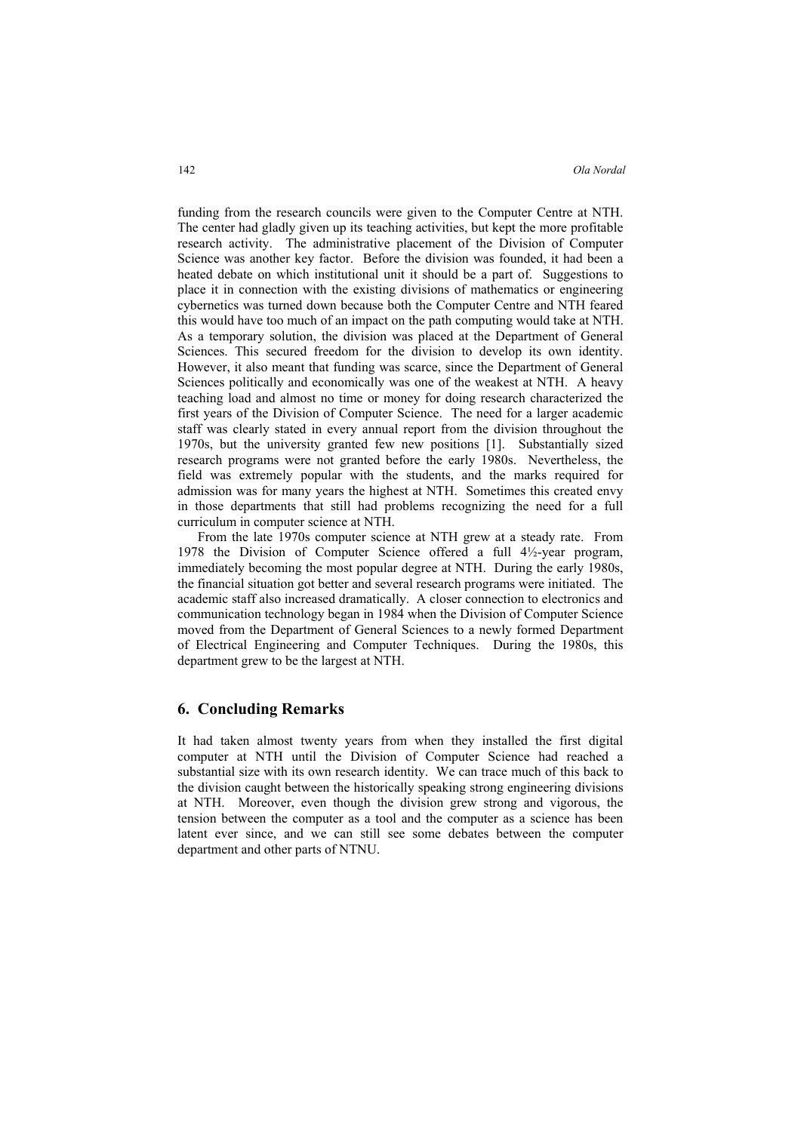funding from the research councils were given to the Computer Centre at NTH. The center had gladly given up its teaching activities, but kept the more profitable research activity. The administrative placement of the Division of Computer Science was another key factor. Before the division was founded, it had been a heated debate on which institutional unit it should be a part of. Suggestions to place it in connection with the existing divisions of mathematics or engineering cybernetics was turned down because both the Computer Centre and NTH feared this would have too much of an impact on the path computing would take at NTH. As a temporary solution, the division was placed at the Department of General Sciences. This secured freedom for the division to develop its own identity. However, it also meant that funding was scarce, since the Department of General Sciences politically and economically was one of the weakest at NTH. A heavy teaching load and almost no time or money for doing research characterized the first years of the Division of Computer Science. The need for a larger academic staff was clearly stated in every annual report from the division throughout the 1970s, but the university granted few new positions [1]. Substantially sized research programs were not granted before the early 1980s. Nevertheless, the field was extremely popular with the students, and the marks required for admission was for many years the highest at NTH. Sometimes this created envy in those departments that still had problems recognizing the need for a full curriculum in computer science at NTH.

From the late 1970s computer science at NTH grew at a steady rate. From 1978 the Division of Computer Science offered a full 4½-year program, immediately becoming the most popular degree at NTH. During the early 1980s, the financial situation got better and several research programs were initiated. The academic staff also increased dramatically. A closer connection to electronics and communication technology began in 1984 when the Division of Computer Science moved from the Department of General Sciences to a newly formed Department of Electrical Engineering and Computer Techniques. During the 1980s, this department grew to be the largest at NTH.

### **6. Concluding Remarks**

It had taken almost twenty years from when they installed the first digital computer at NTH until the Division of Computer Science had reached a substantial size with its own research identity. We can trace much of this back to the division caught between the historically speaking strong engineering divisions at NTH. Moreover, even though the division grew strong and vigorous, the tension between the computer as a tool and the computer as a science has been latent ever since, and we can still see some debates between the computer department and other parts of NTNU.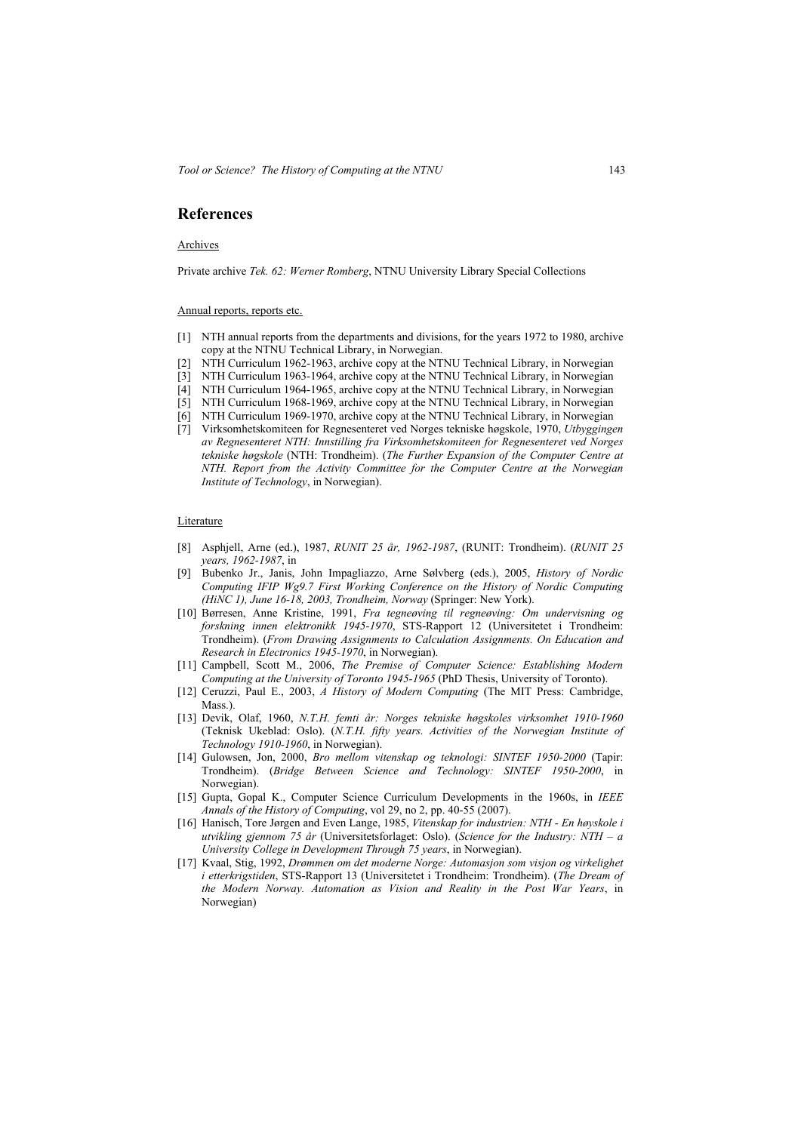*Tool or Science? The History of Computing at the NTNU* 143

#### **References**

#### Archives

Private archive *Tek. 62: Werner Romberg*, NTNU University Library Special Collections

Annual reports, reports etc.

- [1] NTH annual reports from the departments and divisions, for the years 1972 to 1980, archive copy at the NTNU Technical Library, in Norwegian.
- [2] NTH Curriculum 1962-1963, archive copy at the NTNU Technical Library, in Norwegian
- [3] NTH Curriculum 1963-1964, archive copy at the NTNU Technical Library, in Norwegian
- [4] NTH Curriculum 1964-1965, archive copy at the NTNU Technical Library, in Norwegian
- [5] NTH Curriculum 1968-1969, archive copy at the NTNU Technical Library, in Norwegian
- [6] NTH Curriculum 1969-1970, archive copy at the NTNU Technical Library, in Norwegian
- [7] Virksomhetskomiteen for Regnesenteret ved Norges tekniske høgskole, 1970, *Utbyggingen av Regnesenteret NTH: Innstilling fra Virksomhetskomiteen for Regnesenteret ved Norges tekniske høgskole* (NTH: Trondheim). (*The Further Expansion of the Computer Centre at NTH. Report from the Activity Committee for the Computer Centre at the Norwegian Institute of Technology*, in Norwegian).

#### **Literature**

- [8] Asphjell, Arne (ed.), 1987, *RUNIT 25 år, 1962-1987*, (RUNIT: Trondheim). (*RUNIT 25 years, 1962-1987*, in
- [9] Bubenko Jr., Janis, John Impagliazzo, Arne Sølvberg (eds.), 2005, *History of Nordic Computing IFIP Wg9.7 First Working Conference on the History of Nordic Computing (HiNC 1), June 16-18, 2003, Trondheim, Norway* (Springer: New York).
- [10] Børresen, Anne Kristine, 1991, *Fra tegneøving til regneøving: Om undervisning og forskning innen elektronikk 1945-1970*, STS-Rapport 12 (Universitetet i Trondheim: Trondheim). (*From Drawing Assignments to Calculation Assignments. On Education and Research in Electronics 1945-1970*, in Norwegian).
- [11] Campbell, Scott M., 2006, *The Premise of Computer Science: Establishing Modern Computing at the University of Toronto 1945-1965* (PhD Thesis, University of Toronto).
- [12] Ceruzzi, Paul E., 2003, *A History of Modern Computing* (The MIT Press: Cambridge, Mass.).
- [13] Devik, Olaf, 1960, *N.T.H. femti år: Norges tekniske høgskoles virksomhet 1910-1960* (Teknisk Ukeblad: Oslo). (*N.T.H. fifty years. Activities of the Norwegian Institute of Technology 1910-1960*, in Norwegian).
- [14] Gulowsen, Jon, 2000, *Bro mellom vitenskap og teknologi: SINTEF 1950-2000* (Tapir: Trondheim). (*Bridge Between Science and Technology: SINTEF 1950-2000*, in Norwegian).
- [15] Gupta, Gopal K., Computer Science Curriculum Developments in the 1960s, in *IEEE Annals of the History of Computing*, vol 29, no 2, pp. 40-55 (2007).
- [16] Hanisch, Tore Jørgen and Even Lange, 1985, *Vitenskap for industrien: NTH En høyskole i utvikling gjennom 75 år* (Universitetsforlaget: Oslo). (*Science for the Industry: NTH – a University College in Development Through 75 years*, in Norwegian).
- [17] Kvaal, Stig, 1992, *Drømmen om det moderne Norge: Automasjon som visjon og virkelighet i etterkrigstiden*, STS-Rapport 13 (Universitetet i Trondheim: Trondheim). (*The Dream of the Modern Norway. Automation as Vision and Reality in the Post War Years*, in Norwegian)